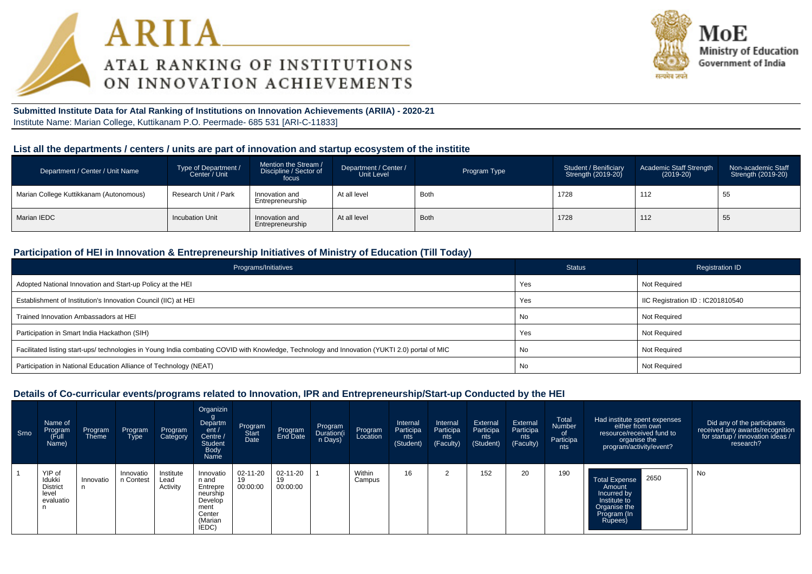



**Submitted Institute Data for Atal Ranking of Institutions on Innovation Achievements (ARIIA) - 2020-21**Institute Name: Marian College, Kuttikanam P.O. Peermade- 685 531 [ARI-C-11833]

#### **List all the departments / centers / units are part of innovation and startup ecosystem of the institite**

| Department / Center / Unit Name         | Type of Department /<br>Center / Unit | Mention the Stream /<br>Discipline / Sector of<br>focus | Department / Center /<br>Unit Level | Program Type | Student / Benificiary<br>Strength (2019-20) | Academic Staff Strength<br>$(2019-20)$ | Non-academic Staff<br>Strength (2019-20) |
|-----------------------------------------|---------------------------------------|---------------------------------------------------------|-------------------------------------|--------------|---------------------------------------------|----------------------------------------|------------------------------------------|
| Marian College Kuttikkanam (Autonomous) | Research Unit / Park                  | Innovation and<br>Entrepreneurship                      | At all level                        | <b>Both</b>  | 1728                                        | 112                                    | 55                                       |
| Marian IEDC                             | <b>Incubation Unit</b>                | Innovation and<br>Entrepreneurship                      | At all level                        | <b>Both</b>  | 1728                                        | 112                                    | 55                                       |

#### **Participation of HEI in Innovation & Entrepreneurship Initiatives of Ministry of Education (Till Today)**

| Programs/Initiatives                                                                                                                           | <b>Status</b> | <b>Registration ID</b>           |
|------------------------------------------------------------------------------------------------------------------------------------------------|---------------|----------------------------------|
| Adopted National Innovation and Start-up Policy at the HEI                                                                                     | Yes           | Not Required                     |
| Establishment of Institution's Innovation Council (IIC) at HEI                                                                                 | Yes           | IIC Registration ID: IC201810540 |
| Trained Innovation Ambassadors at HEI                                                                                                          | No            | Not Required                     |
| Participation in Smart India Hackathon (SIH)                                                                                                   | Yes           | Not Required                     |
| Facilitated listing start-ups/ technologies in Young India combating COVID with Knowledge, Technology and Innovation (YUKTI 2.0) portal of MIC | No            | Not Required                     |
| Participation in National Education Alliance of Technology (NEAT)                                                                              | No            | Not Required                     |

#### **Details of Co-curricular events/programs related to Innovation, IPR and Entrepreneurship/Start-up Conducted by the HEI**

| Srno | Name of<br>Program<br>(Full<br>Name)                      | Program<br><b>Theme</b> | Program<br>Type        | Program<br>Category           | Organizin<br>Departm<br>ent /<br>Centre /<br><b>Student</b><br><b>Body</b><br>Name          | Program<br>Start<br>Date | Program<br>End Date        | Program<br>Duration(i<br>n Days) | Program<br>Location | Internal<br>Participa<br>nts<br>(Student) | Internal<br>Participa<br>nts<br>(Faculty) | External<br>Participa<br>nts<br>(Student) | External<br>Participa<br>nts<br>(Faculty) | Total<br><b>Number</b><br>of.<br>Participa<br>nts | Had institute spent expenses<br>either from own<br>resource/received fund to<br>organise the<br>program/activity/event? | Did any of the participants<br>received any awards/recognition<br>for startup / innovation ideas /<br>research? |
|------|-----------------------------------------------------------|-------------------------|------------------------|-------------------------------|---------------------------------------------------------------------------------------------|--------------------------|----------------------------|----------------------------------|---------------------|-------------------------------------------|-------------------------------------------|-------------------------------------------|-------------------------------------------|---------------------------------------------------|-------------------------------------------------------------------------------------------------------------------------|-----------------------------------------------------------------------------------------------------------------|
|      | YIP of<br>Idukki<br><b>District</b><br>level<br>evaluatio | Innovatio               | Innovatio<br>n Contest | Institute<br>Lead<br>Activity | Innovatio<br>n and<br>Entrepre<br>neurship<br>Develop<br>ment<br>Center<br>(Marian<br>IEDC) | 02-11-20<br>00:00:00     | 02-11-20<br>19<br>00:00:00 |                                  | Within<br>Campus    | 16                                        |                                           | 152                                       | 20                                        | 190                                               | 2650<br><b>Total Expense</b><br>Amount<br>Incurred by<br>Institute to<br>Organise the<br>Program (In<br>Rupees)         | No                                                                                                              |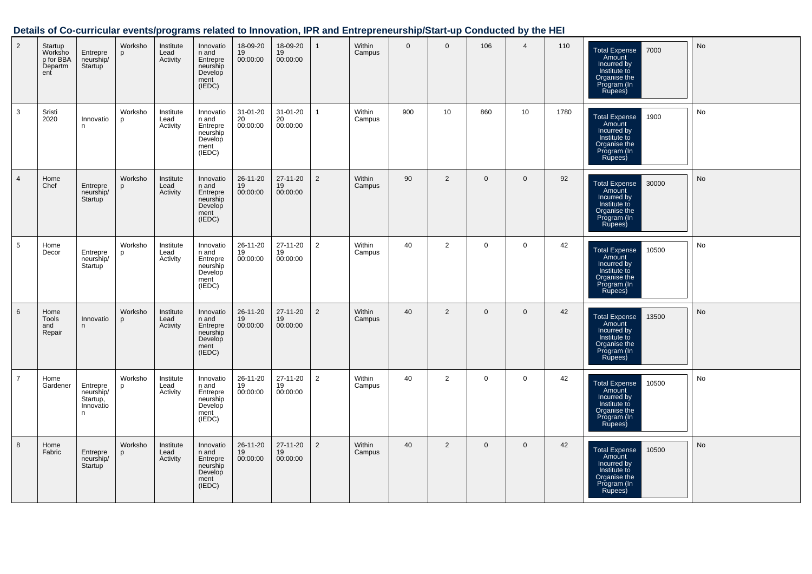### **Details of Co-curricular events/programs related to Innovation, IPR and Entrepreneurship/Start-up Conducted by the HEI**

| 2              | Startup<br>Worksho<br>p for BBA<br>Departm<br>ent | Entrepre<br>neurship/<br>Startup                    | Worksho<br>p | Institute<br>Lead<br>Activity | Innovatio<br>n and<br>Entrepre<br>neurship<br>Develop<br>ment<br>(IEDC) | 18-09-20<br>19<br>00:00:00 | 18-09-20<br>19<br>00:00:00 | $\mathbf{1}$   | Within<br>Campus | $\mathbf{0}$ | $\mathbf 0$    | 106          | $\overline{4}$ | 110  | 7000<br><b>Total Expense</b><br>Amount<br>Incurred by<br>Institute to<br>Organise the<br>Program (In<br>Rupees)  | No |
|----------------|---------------------------------------------------|-----------------------------------------------------|--------------|-------------------------------|-------------------------------------------------------------------------|----------------------------|----------------------------|----------------|------------------|--------------|----------------|--------------|----------------|------|------------------------------------------------------------------------------------------------------------------|----|
| 3              | Sristi<br>2020                                    | Innovatio<br>n.                                     | Worksho<br>p | Institute<br>Lead<br>Activity | Innovatio<br>n and<br>Entrepre<br>neurship<br>Develop<br>ment<br>(IEDC) | 31-01-20<br>20<br>00:00:00 | 31-01-20<br>20<br>00:00:00 | $\mathbf{1}$   | Within<br>Campus | 900          | 10             | 860          | 10             | 1780 | <b>Total Expense</b><br>1900<br>Amount<br>Incurred by<br>Institute to<br>Organise the<br>Program (In<br>Rupees)  | No |
| 4              | Home<br>Chef                                      | Entrepre<br>neurship/<br>Startup <sup>1</sup>       | Worksho<br>p | Institute<br>Lead<br>Activity | Innovatio<br>n and<br>Entrepre<br>neurship<br>Develop<br>ment<br>(IEDC) | 26-11-20<br>19<br>00:00:00 | 27-11-20<br>19<br>00:00:00 | $\overline{2}$ | Within<br>Campus | 90           | $\overline{2}$ | $\mathbf 0$  | $\mathbf 0$    | 92   | 30000<br><b>Total Expense</b><br>Amount<br>Incurred by<br>Institute to<br>Organise the<br>Program (In<br>Rupees) | No |
| 5              | Home<br>Decor                                     | Entrepre<br>neurship/<br>Startup <sup>1</sup>       | Worksho<br>p | Institute<br>Lead<br>Activity | Innovatio<br>n and<br>Entrepre<br>neurship<br>Develop<br>ment<br>(IEDC) | 26-11-20<br>19<br>00:00:00 | 27-11-20<br>19<br>00:00:00 | $\overline{2}$ | Within<br>Campus | 40           | 2              | $\mathbf 0$  | $\mathbf 0$    | 42   | 10500<br>Total Expense<br>Amount<br>Incurred by<br>Institute to<br>Organise the<br>Program (In<br>Rupees)        | No |
| 6              | Home<br>Tools<br>and<br>Repair                    | Innovatio<br>n                                      | Worksho<br>D | Institute<br>Lead<br>Activity | Innovatio<br>n and<br>Entrepre<br>neurship<br>Develop<br>ment<br>(IEDC) | 26-11-20<br>19<br>00:00:00 | 27-11-20<br>19<br>00:00:00 | $\overline{2}$ | Within<br>Campus | 40           | 2              | $\mathbf{0}$ | $\mathbf{0}$   | 42   | <b>Total Expense</b><br>13500<br>Amount<br>Incurred by<br>Institute to<br>Organise the<br>Program (In<br>Rupees) | No |
| $\overline{7}$ | Home<br>Gardener                                  | Entrepre<br>neurship/<br>Startup,<br>Innovatio<br>n | Worksho<br>p | Institute<br>Lead<br>Activity | Innovatio<br>n and<br>Entrepre<br>neurship<br>Develop<br>ment<br>(IEDC) | 26-11-20<br>19<br>00:00:00 | 27-11-20<br>19<br>00:00:00 | $\overline{2}$ | Within<br>Campus | 40           | $\overline{2}$ | $\mathbf 0$  | $\mathbf 0$    | 42   | 10500<br><b>Total Expense</b><br>Amount<br>Incurred by<br>Institute to<br>Organise the<br>Program (In<br>Rupees) | No |
| 8              | Home<br>Fabric                                    | Entrepre<br>neurship/<br>Startup                    | Worksho<br>p | Institute<br>Lead<br>Activity | Innovatio<br>n and<br>Entrepre<br>neurship<br>Develop<br>ment<br>(IEDC) | 26-11-20<br>19<br>00:00:00 | 27-11-20<br>19<br>00:00:00 | $\overline{2}$ | Within<br>Campus | 40           | $\overline{2}$ | $\mathbf 0$  | $\Omega$       | 42   | 10500<br><b>Total Expense</b><br>Amount<br>Incurred by<br>Institute to<br>Organise the<br>Program (In<br>Rupees) | No |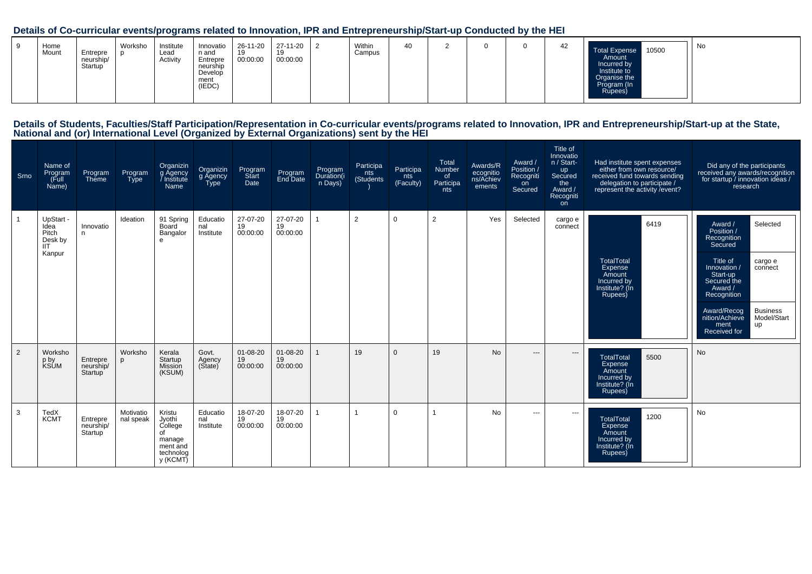### **Details of Co-curricular events/programs related to Innovation, IPR and Entrepreneurship/Start-up Conducted by the HEI**

| Home<br>Mount | Entrepre<br>neurship/<br>Startup | Worksho | Institute<br>Lead<br>Activity | Innovatio<br>n and<br>Entrepre<br>neurship<br>Develop<br>ment<br>(IEDC) | 26-11-20<br>19<br>00:00:00 | 27-11-20<br>19<br>00:00:00 |  | Within<br>Campus | 40 |  |  |  | 42 | 10500<br><b>Total Expense</b><br>Amount<br>Incurred by<br>Institute to<br>Organise the<br>Program (In<br>Rupees) | . No |
|---------------|----------------------------------|---------|-------------------------------|-------------------------------------------------------------------------|----------------------------|----------------------------|--|------------------|----|--|--|--|----|------------------------------------------------------------------------------------------------------------------|------|
|---------------|----------------------------------|---------|-------------------------------|-------------------------------------------------------------------------|----------------------------|----------------------------|--|------------------|----|--|--|--|----|------------------------------------------------------------------------------------------------------------------|------|

# Details of Students, Faculties/Staff Participation/Representation in Co-curricular events/programs related to Innovation, IPR and Entrepreneurship/Start-up at the State,<br>National and (or) International Level (Organized by

| Srno | Name of<br>Program<br>(Full<br>Name)                          | Program<br>Theme                 | Program<br><b>Type</b> | Organizin<br>g Agency<br>Institute<br>Name                                       | Organizin<br>g Agency<br>Type | Program<br>Start<br>Date         | Program<br>End Date        | Program<br>Duration(i<br>n Days) | Participa<br>nts<br>(Students) | Participa<br>nts<br>(Faculty) | Total<br>Number<br>of<br>Participa<br>nts | Awards/R<br>ecognitio<br>ns/Achiev<br>ements | Award /<br>Position /<br>Recogniti<br>on<br>Secured | Title of<br>Innovatio<br>n / Start-<br>up<br>Secured<br>the<br>Award /<br>Recogniti<br><b>on</b> | Had institute spent expenses<br>either from own resource/<br>received fund towards sending<br>delegation to participate /<br>represent the activity / event? | Did any of the participants<br>received any awards/recognition<br>for startup / innovation ideas /<br>research                                                                                                                                                      |
|------|---------------------------------------------------------------|----------------------------------|------------------------|----------------------------------------------------------------------------------|-------------------------------|----------------------------------|----------------------------|----------------------------------|--------------------------------|-------------------------------|-------------------------------------------|----------------------------------------------|-----------------------------------------------------|--------------------------------------------------------------------------------------------------|--------------------------------------------------------------------------------------------------------------------------------------------------------------|---------------------------------------------------------------------------------------------------------------------------------------------------------------------------------------------------------------------------------------------------------------------|
|      | UpStart -<br>Idea<br>Pitch<br>Desk by<br><b>IIT</b><br>Kanpur | Innovatio<br>n                   | Ideation               | 91 Spring<br>Board<br>Bangalor<br>$\mathbf{e}$                                   | Educatio<br>nal<br>Institute  | 27-07-20<br>19<br>00:00:00       | 27-07-20<br>19<br>00:00:00 | $\mathbf{1}$                     | $\overline{2}$                 | $\mathbf 0$                   | 2                                         | Yes                                          | Selected                                            | cargo e<br>connect                                                                               | 6419<br><b>TotalTotal</b><br>Expense<br>Amount<br>Incurred by<br>Institute? (In<br>Rupees)                                                                   | Award /<br>Selected<br>Position /<br>Recognition<br>Secured<br>Title of<br>cargo e<br>Innovation /<br>connect<br>Start-up<br>Secured the<br>Award /<br>Recognition<br><b>Business</b><br>Award/Recog<br>nition/Achieve<br>Model/Start<br>up<br>ment<br>Received for |
| 2    | Worksho<br>p by<br>KSUM                                       | Entrepre<br>neurship/<br>Startup | Worksho<br>D           | Kerala<br>Startup<br>Mission<br>(KSUM)                                           | Govt.<br>Agency<br>(State)    | $01 - 08 - 20$<br>19<br>00:00:00 | 01-08-20<br>19<br>00:00:00 |                                  | 19                             | $\Omega$                      | 19                                        | <b>No</b>                                    | $---$                                               | $\hspace{1.5cm} \textbf{---}$                                                                    | <b>TotalTotal</b><br>5500<br>Expense<br>Amount<br>Incurred by<br>Institute? (In<br>Rupees)                                                                   | <b>No</b>                                                                                                                                                                                                                                                           |
| 3    | TedX<br><b>KCMT</b>                                           | Entrepre<br>neurship/<br>Startup | Motivatio<br>nal speak | Kristu<br>Jyothi<br>College<br>of<br>manage<br>ment and<br>technolog<br>y (KCMT) | Educatio<br>nal<br>Institute  | 18-07-20<br>19<br>00:00:00       | 18-07-20<br>19<br>00:00:00 |                                  |                                | $\Omega$                      |                                           | No.                                          | ---                                                 | $\hspace{0.05cm} \ldots$                                                                         | 1200<br><b>TotalTotal</b><br>Expense<br>Amount<br>Incurred by<br>Institute? (In<br>Rupees)                                                                   | No                                                                                                                                                                                                                                                                  |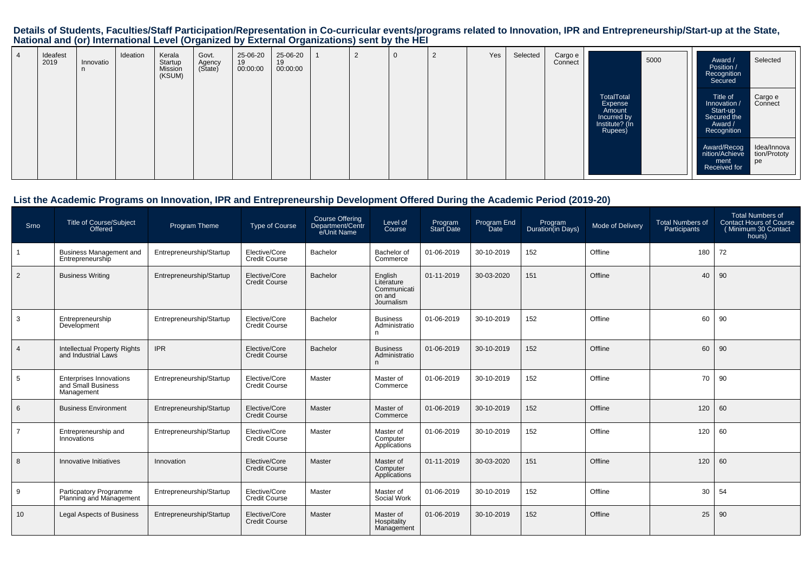# Details of Students, Faculties/Staff Participation/Representation in Co-curricular events/programs related to Innovation, IPR and Entrepreneurship/Start-up at the State,<br>National and (or) International Level (Organized by

| Ideafest<br>2019 | Innovatio<br>n | Ideation | Kerala<br>Startup<br>Mission<br>(KSUM) | Govt.<br>Agency<br>(State) | 25-06-20<br>19<br>00:00:00 | 25-06-20<br>19<br>00:00:00 | $\epsilon$ | $\mathbf{0}$ | $\Omega$<br>▴ | Yes | Selected | Cargo e<br>Connect |                                                                             | 5000 | Award /<br>Position /<br>Recognition<br>Secured                               | Selected                          |
|------------------|----------------|----------|----------------------------------------|----------------------------|----------------------------|----------------------------|------------|--------------|---------------|-----|----------|--------------------|-----------------------------------------------------------------------------|------|-------------------------------------------------------------------------------|-----------------------------------|
|                  |                |          |                                        |                            |                            |                            |            |              |               |     |          |                    | TotalTotal<br>Expense<br>Amount<br>Incurred by<br>Institute? (In<br>Rupees) |      | Title of<br>Innovation /<br>Start-up<br>Secured the<br>Award /<br>Recognition | Cargo e<br>Connect                |
|                  |                |          |                                        |                            |                            |                            |            |              |               |     |          |                    |                                                                             |      | Award/Recog<br>nition/Achieve<br>ment<br>Received for                         | Idea/Innova<br>tion/Prototy<br>pe |

#### **List the Academic Programs on Innovation, IPR and Entrepreneurship Development Offered During the Academic Period (2019-20)**

| Srno           | <b>Title of Course/Subject</b><br>Offered                          | <b>Program Theme</b>     | <b>Type of Course</b>                 | Course Offering<br>Department/Centr<br>e/Unit Name | Level of<br>Course                                           | Program<br>Start Date | Program End<br>Date | Program<br>Duration(in Days) | Mode of Delivery | <b>Total Numbers of</b><br>Participants | <b>Total Numbers of</b><br><b>Contact Hours of Course</b><br>(Minimum 30 Contact<br>hours) |
|----------------|--------------------------------------------------------------------|--------------------------|---------------------------------------|----------------------------------------------------|--------------------------------------------------------------|-----------------------|---------------------|------------------------------|------------------|-----------------------------------------|--------------------------------------------------------------------------------------------|
|                | <b>Business Management and</b><br>Entrepreneurship                 | Entrepreneurship/Startup | Elective/Core<br>Credit Course        | Bachelor                                           | Bachelor of<br>Commerce                                      | 01-06-2019            | 30-10-2019          | 152                          | Offline          | 180                                     | 72                                                                                         |
| $\overline{2}$ | <b>Business Writing</b>                                            | Entrepreneurship/Startup | Elective/Core<br><b>Credit Course</b> | Bachelor                                           | English<br>Literature<br>Communicati<br>on and<br>Journalism | 01-11-2019            | 30-03-2020          | 151                          | Offline          | 40                                      | 90                                                                                         |
| 3              | Entrepreneurship<br>Development                                    | Entrepreneurship/Startup | Elective/Core<br><b>Credit Course</b> | Bachelor                                           | <b>Business</b><br>Administratio<br>n                        | 01-06-2019            | 30-10-2019          | 152                          | Offline          | 60                                      | 90                                                                                         |
| $\overline{4}$ | <b>Intellectual Property Rights</b><br>and Industrial Laws         | <b>IPR</b>               | Elective/Core<br><b>Credit Course</b> | <b>Bachelor</b>                                    | <b>Business</b><br>Administratio<br>n                        | 01-06-2019            | 30-10-2019          | 152                          | Offline          | 60                                      | 90                                                                                         |
| 5              | <b>Enterprises Innovations</b><br>and Small Business<br>Management | Entrepreneurship/Startup | Elective/Core<br>Credit Course        | Master                                             | Master of<br>Commerce                                        | 01-06-2019            | 30-10-2019          | 152                          | Offline          | 70                                      | 90                                                                                         |
| 6              | <b>Business Environment</b>                                        | Entrepreneurship/Startup | Elective/Core<br><b>Credit Course</b> | Master                                             | Master of<br>Commerce                                        | 01-06-2019            | 30-10-2019          | 152                          | Offline          | 120                                     | 60                                                                                         |
|                | Entrepreneurship and<br>Innovations                                | Entrepreneurship/Startup | Elective/Core<br><b>Credit Course</b> | Master                                             | Master of<br>Computer<br>Applications                        | 01-06-2019            | 30-10-2019          | 152                          | Offline          | 120                                     | 60                                                                                         |
| 8              | Innovative Initiatives                                             | Innovation               | Elective/Core<br>Credit Course        | Master                                             | Master of<br>Computer<br>Applications                        | 01-11-2019            | 30-03-2020          | 151                          | Offline          | 120                                     | 60                                                                                         |
| 9              | Particpatory Programme<br>Planning and Management                  | Entrepreneurship/Startup | Elective/Core<br><b>Credit Course</b> | Master                                             | Master of<br>Social Work                                     | 01-06-2019            | 30-10-2019          | 152                          | Offline          | 30                                      | 54                                                                                         |
| 10             | <b>Legal Aspects of Business</b>                                   | Entrepreneurship/Startup | Elective/Core<br><b>Credit Course</b> | Master                                             | Master of<br>Hospitality<br>Management                       | 01-06-2019            | 30-10-2019          | 152                          | Offline          | 25                                      | 90                                                                                         |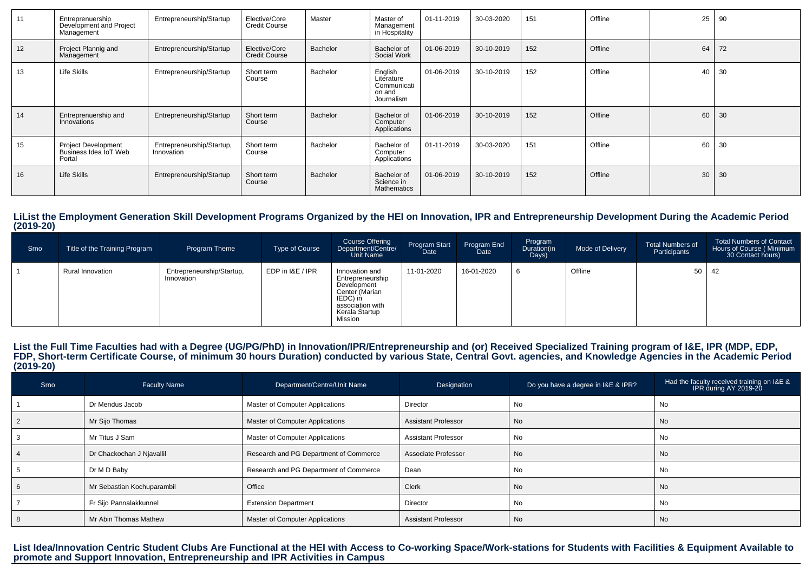| 11 | Entreprenuership<br>Development and Project<br>Management     | Entrepreneurship/Startup                | Elective/Core<br><b>Credit Course</b> | Master          | Master of<br>Management<br>in Hospitality                    | 01-11-2019 | 30-03-2020 | 151 | Offline | 25 | 90 |
|----|---------------------------------------------------------------|-----------------------------------------|---------------------------------------|-----------------|--------------------------------------------------------------|------------|------------|-----|---------|----|----|
| 12 | Project Plannig and<br>Management                             | Entrepreneurship/Startup                | Elective/Core<br><b>Credit Course</b> | <b>Bachelor</b> | Bachelor of<br>Social Work                                   | 01-06-2019 | 30-10-2019 | 152 | Offline | 64 | 72 |
| 13 | Life Skills                                                   | Entrepreneurship/Startup                | Short term<br>Course                  | Bachelor        | English<br>Literature<br>Communicati<br>on and<br>Journalism | 01-06-2019 | 30-10-2019 | 152 | Offline | 40 | 30 |
| 14 | Entreprenuership and<br>Innovations                           | Entrepreneurship/Startup                | Short term<br>Course                  | Bachelor        | Bachelor of<br>Computer<br>Applications                      | 01-06-2019 | 30-10-2019 | 152 | Offline | 60 | 30 |
| 15 | <b>Project Development</b><br>Business Idea IoT Web<br>Portal | Entrepreneurship/Startup,<br>Innovation | Short term<br>Course                  | Bachelor        | Bachelor of<br>Computer<br>Applications                      | 01-11-2019 | 30-03-2020 | 151 | Offline | 60 | 30 |
| 16 | <b>Life Skills</b>                                            | Entrepreneurship/Startup                | Short term<br>Course                  | Bachelor        | Bachelor of<br>Science in<br><b>Mathematics</b>              | 01-06-2019 | 30-10-2019 | 152 | Offline | 30 | 30 |

#### **LiList the Employment Generation Skill Development Programs Organized by the HEI on Innovation, IPR and Entrepreneurship Development During the Academic Period(2019-20)**

| Srno | Title of the Training Program | Program Theme                           | <b>Type of Course</b> | <b>Course Offering</b><br>Department/Centre/<br>Unit Name                                                                        | Program Start<br>Date | Program End<br>Date <sup>1</sup> | Program<br>Duration(in<br>Days) | Mode of Delivery | <b>Total Numbers of</b><br>Participants | <b>Total Numbers of Contact</b><br>Hours of Course (Minimum<br>30 Contact hours) |
|------|-------------------------------|-----------------------------------------|-----------------------|----------------------------------------------------------------------------------------------------------------------------------|-----------------------|----------------------------------|---------------------------------|------------------|-----------------------------------------|----------------------------------------------------------------------------------|
|      | <b>Rural Innovation</b>       | Entrepreneurship/Startup,<br>Innovation | EDP in I&E / IPR      | Innovation and<br>Entrepreneurship<br>Development<br>Center (Marian<br>IEDC) in<br>association with<br>Kerala Startup<br>Mission | 11-01-2020            | 16-01-2020                       |                                 | Offline          | 50                                      | $\vert$ 42                                                                       |

## List the Full Time Faculties had with a Degree (UG/PG/PhD) in Innovation/IPR/Entrepreneurship and (or) Received Specialized Training program of I&E, IPR (MDP, EDP,<br>FDP, Short-term Certificate Course, of minimum 30 hours Du **(2019-20)**

| Srno | <b>Faculty Name</b>        | Department/Centre/Unit Name            | Designation                | Do you have a degree in I&E & IPR? | Had the faculty received training on I&E &<br>IPR during AY 2019-20 |
|------|----------------------------|----------------------------------------|----------------------------|------------------------------------|---------------------------------------------------------------------|
|      | Dr Mendus Jacob            | Master of Computer Applications        | Director                   | No                                 | No                                                                  |
|      | Mr Sijo Thomas             | Master of Computer Applications        | <b>Assistant Professor</b> | No                                 | No                                                                  |
|      | Mr Titus J Sam             | Master of Computer Applications        | <b>Assistant Professor</b> | No                                 | No                                                                  |
|      | Dr Chackochan J Njavallil  | Research and PG Department of Commerce | Associate Professor        | No                                 | - No                                                                |
|      | Dr M D Baby                | Research and PG Department of Commerce | Dean                       | No                                 | No                                                                  |
|      | Mr Sebastian Kochuparambil | Office                                 | Clerk                      | No                                 | No                                                                  |
|      | Fr Sijo Pannalakkunnel     | <b>Extension Department</b>            | Director                   | No                                 | No                                                                  |
|      | Mr Abin Thomas Mathew      | Master of Computer Applications        | <b>Assistant Professor</b> | No                                 | No                                                                  |

# List Idea/Innovation Centric Student Clubs Are Functional at the HEI with Access to Co-working Space/Work-stations for Students with Facilities & Equipment Available to<br>promote and Support Innovation, Entrepreneurship and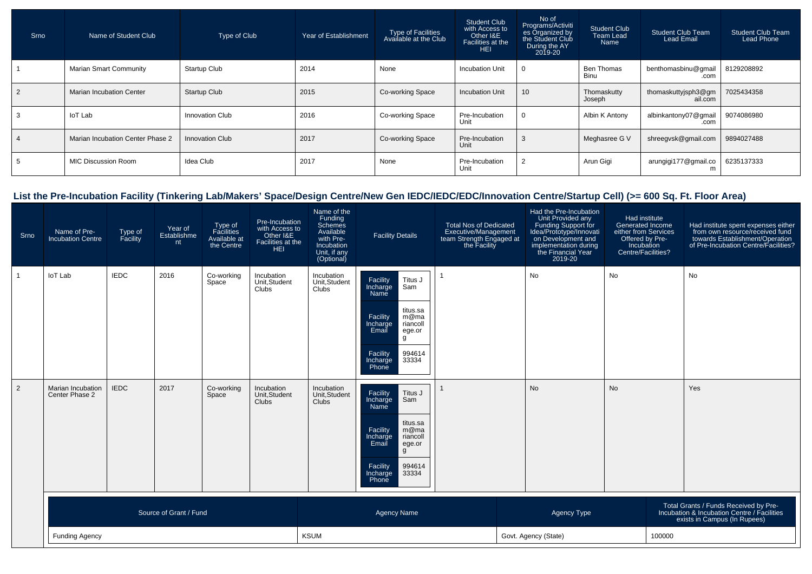| Srno | Name of Student Club             | Type of Club           | Year of Establishment | Type of Facilities<br>Available at the Club | <b>Student Club</b><br>with Access to<br>Other I&E<br>Facilities at the<br><b>HEI</b> | No of<br>Programs/Activiti<br>es Organized by<br>the Student Club<br>During the AY<br>2019-20 | Student Club<br><b>Team Lead</b><br>Name | <b>Student Club Team</b><br><b>Lead Email</b> | <b>Student Club Team</b><br>Lead Phone |
|------|----------------------------------|------------------------|-----------------------|---------------------------------------------|---------------------------------------------------------------------------------------|-----------------------------------------------------------------------------------------------|------------------------------------------|-----------------------------------------------|----------------------------------------|
|      | <b>Marian Smart Community</b>    | <b>Startup Club</b>    | 2014                  | None                                        | <b>Incubation Unit</b>                                                                | 0                                                                                             | <b>Ben Thomas</b><br>Binu                | benthomasbinu@gmail<br>.com                   | 8129208892                             |
|      | <b>Marian Incubation Center</b>  | <b>Startup Club</b>    | 2015                  | Co-working Space                            | <b>Incubation Unit</b>                                                                | 10 <sup>°</sup>                                                                               | Thomaskutty<br>Joseph                    | thomaskuttyjsph3@gm<br>ail.com                | 7025434358                             |
|      | loT Lab                          | Innovation Club        | 2016                  | Co-working Space                            | Pre-Incubation<br>Unit                                                                | 0                                                                                             | Albin K Antony                           | albinkantony07@gmail<br>.com                  | 9074086980                             |
|      | Marian Incubation Center Phase 2 | <b>Innovation Club</b> | 2017                  | Co-working Space                            | Pre-Incubation<br>Unit                                                                | 3                                                                                             | Meghasree G V                            | shreegvsk@gmail.com                           | 9894027488                             |
|      | <b>MIC Discussion Room</b>       | Idea Club              | 2017                  | None                                        | Pre-Incubation<br>Unit                                                                |                                                                                               | Arun Gigi                                | arungigi177@gmail.co                          | 6235137333                             |

### **List the Pre-Incubation Facility (Tinkering Lab/Makers' Space/Design Centre/New Gen IEDC/IEDC/EDC/Innovation Centre/Startup Cell) (>= 600 Sq. Ft. Floor Area)**

| Srno           | Name of Pre-<br><b>Incubation Centre</b> | Type of<br>Facility | Year of<br>Establishme<br>nt | Type of<br>Facilities<br>Available at<br>the Centre | Pre-Incubation<br>with Access to<br>Other I&E<br>Facilities at the<br>HEI. | Name of the<br>Funding<br>Schemes<br>Available<br>with Pre-<br>Incubation<br>Unit, if any<br>(Optional) | <b>Facility Details</b>                                                                                                                                                            | <b>Total Nos of Dedicated</b><br>Executive/Management<br>team Strength Engaged at<br>the Facility |                      | Had the Pre-Incubation<br>Unit Provided any<br>Funding Support for<br>Idea/Prototype/Innovati<br>on Development and<br>implementation during<br>the Financial Year<br>2019-20 | Had institute<br><b>Generated Income</b><br>either from Services<br>Offered by Pre-<br>Incubation<br>Centre/Facilities? |        | Had institute spent expenses either<br>from own resource/received fund<br>towards Establishment/Operation<br>of Pre-Incubation Centre/Facilities? |
|----------------|------------------------------------------|---------------------|------------------------------|-----------------------------------------------------|----------------------------------------------------------------------------|---------------------------------------------------------------------------------------------------------|------------------------------------------------------------------------------------------------------------------------------------------------------------------------------------|---------------------------------------------------------------------------------------------------|----------------------|-------------------------------------------------------------------------------------------------------------------------------------------------------------------------------|-------------------------------------------------------------------------------------------------------------------------|--------|---------------------------------------------------------------------------------------------------------------------------------------------------|
|                | loT Lab                                  | <b>IEDC</b>         | 2016                         | Co-working<br>Space                                 | Incubation<br>Unit, Student<br>Clubs                                       | Incubation<br>Unit, Student<br>Clubs                                                                    | Facility<br>Titus J<br>Incharge<br>Sam<br>Name<br>titus.sa<br>Facility<br>m@ma<br>Incharge<br>riancoll<br>Email<br>ege.or<br>g<br>Facility<br>994614<br>33334<br>Incharge<br>Phone |                                                                                                   | No                   |                                                                                                                                                                               | No                                                                                                                      |        | No                                                                                                                                                |
| $\overline{2}$ | Marian Incubation<br>Center Phase 2      | <b>IEDC</b>         | 2017                         | Co-working<br>Space                                 | Incubation<br>Unit, Student<br>Clubs                                       | Incubation<br>Unit, Student<br>Clubs                                                                    | Facility<br>Titus J<br>Incharge<br>Sam<br>Name<br>titus.sa<br>Facility<br>m@ma<br>Incharge<br>riancoll<br>Email<br>ege.or<br>g<br>Facility<br>994614<br>33334<br>Incharge<br>Phone |                                                                                                   | <b>No</b>            |                                                                                                                                                                               | <b>No</b>                                                                                                               |        | Yes                                                                                                                                               |
|                |                                          |                     | Source of Grant / Fund       |                                                     |                                                                            |                                                                                                         | <b>Agency Name</b>                                                                                                                                                                 |                                                                                                   |                      | Agency Type                                                                                                                                                                   |                                                                                                                         |        | Total Grants / Funds Received by Pre-<br>Incubation & Incubation Centre / Facilities<br>exists in Campus (In Rupees)                              |
|                | <b>Funding Agency</b>                    |                     |                              |                                                     |                                                                            | <b>KSUM</b>                                                                                             |                                                                                                                                                                                    |                                                                                                   | Govt. Agency (State) |                                                                                                                                                                               |                                                                                                                         | 100000 |                                                                                                                                                   |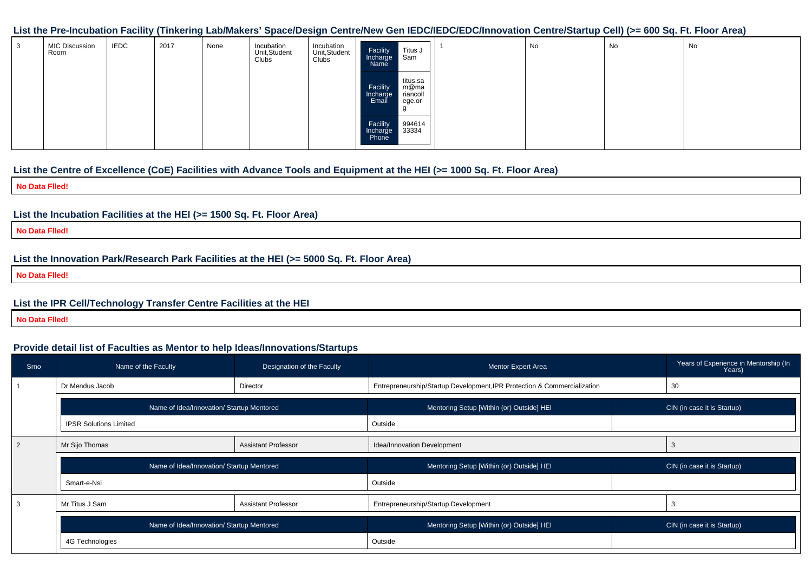#### **List the Pre-Incubation Facility (Tinkering Lab/Makers' Space/Design Centre/New Gen IEDC/IEDC/EDC/Innovation Centre/Startup Cell) (>= 600 Sq. Ft. Floor Area)**

| -3 | <b>MIC Discussion</b><br>Room | <b>IEDC</b> | 2017 | None | Incubation<br>Unit, Student<br>Clubs | Incubation<br>Unit, Student<br>Clubs | Titus J<br>Facility<br>Incharge<br>Sam<br>Name                          | No | No | No |
|----|-------------------------------|-------------|------|------|--------------------------------------|--------------------------------------|-------------------------------------------------------------------------|----|----|----|
|    |                               |             |      |      |                                      |                                      | titus.sa<br>m@ma<br>Facility<br>riancoll<br>Incharge<br>Email<br>ege.or |    |    |    |
|    |                               |             |      |      |                                      |                                      | Facility<br>994614<br>33334<br>Incharge<br>Phone                        |    |    |    |

#### **List the Centre of Excellence (CoE) Facilities with Advance Tools and Equipment at the HEI (>= 1000 Sq. Ft. Floor Area)**

**No Data Flled!**

#### **List the Incubation Facilities at the HEI (>= 1500 Sq. Ft. Floor Area)**

**No Data Flled!**

#### **List the Innovation Park/Research Park Facilities at the HEI (>= 5000 Sq. Ft. Floor Area)**

**No Data Flled!**

#### **List the IPR Cell/Technology Transfer Centre Facilities at the HEI**

**No Data Flled!**

#### **Provide detail list of Faculties as Mentor to help Ideas/Innovations/Startups**

| Srno           | Name of the Faculty                       | Designation of the Faculty | <b>Mentor Expert Area</b>                                                | Years of Experience in Mentorship (In<br>Years) |
|----------------|-------------------------------------------|----------------------------|--------------------------------------------------------------------------|-------------------------------------------------|
|                | Dr Mendus Jacob                           | Director                   | Entrepreneurship/Startup Development, IPR Protection & Commercialization | 30                                              |
|                | Name of Idea/Innovation/ Startup Mentored |                            | Mentoring Setup [Within (or) Outside] HEI                                | CIN (in case it is Startup)                     |
|                | <b>IPSR Solutions Limited</b>             |                            | Outside                                                                  |                                                 |
| $\overline{2}$ | Mr Sijo Thomas                            | <b>Assistant Professor</b> | Idea/Innovation Development                                              |                                                 |
|                | Name of Idea/Innovation/ Startup Mentored |                            | Mentoring Setup [Within (or) Outside] HEI                                | CIN (in case it is Startup)                     |
|                | Smart-e-Nsi                               |                            | Outside                                                                  |                                                 |
| 3              | Mr Titus J Sam                            | <b>Assistant Professor</b> | Entrepreneurship/Startup Development                                     | 3                                               |
|                | Name of Idea/Innovation/ Startup Mentored |                            | Mentoring Setup [Within (or) Outside] HEI                                | CIN (in case it is Startup)                     |
|                |                                           |                            |                                                                          |                                                 |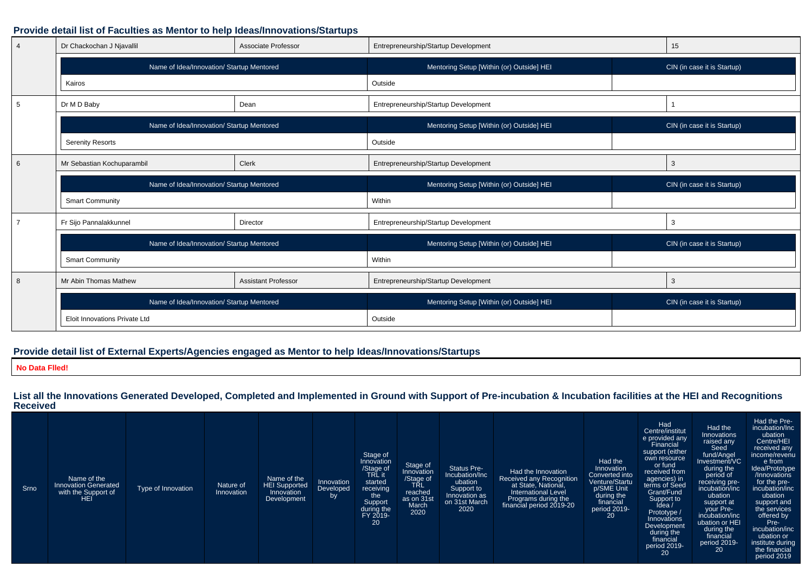#### **Provide detail list of Faculties as Mentor to help Ideas/Innovations/Startups**

| $\overline{4}$ | Dr Chackochan J Njavallil                 | Associate Professor        | Entrepreneurship/Startup Development      | 15                          |
|----------------|-------------------------------------------|----------------------------|-------------------------------------------|-----------------------------|
|                | Name of Idea/Innovation/ Startup Mentored |                            | Mentoring Setup [Within (or) Outside] HEI | CIN (in case it is Startup) |
|                | Kairos                                    |                            | Outside                                   |                             |
| 5              | Dr M D Baby                               | Dean                       | Entrepreneurship/Startup Development      |                             |
|                | Name of Idea/Innovation/ Startup Mentored |                            | Mentoring Setup [Within (or) Outside] HEI | CIN (in case it is Startup) |
|                | <b>Serenity Resorts</b>                   |                            | Outside                                   |                             |
| 6              | Mr Sebastian Kochuparambil                | Clerk                      | Entrepreneurship/Startup Development      | 3                           |
|                | Name of Idea/Innovation/ Startup Mentored |                            | Mentoring Setup [Within (or) Outside] HEI | CIN (in case it is Startup) |
|                | <b>Smart Community</b>                    |                            | Within                                    |                             |
|                | Fr Sijo Pannalakkunnel                    | Director                   | Entrepreneurship/Startup Development      | 3                           |
|                | Name of Idea/Innovation/ Startup Mentored |                            | Mentoring Setup [Within (or) Outside] HEI | CIN (in case it is Startup) |
|                | <b>Smart Community</b>                    |                            | Within                                    |                             |
| 8              | Mr Abin Thomas Mathew                     | <b>Assistant Professor</b> | Entrepreneurship/Startup Development      | 3                           |
|                | Name of Idea/Innovation/ Startup Mentored |                            | Mentoring Setup [Within (or) Outside] HEI | CIN (in case it is Startup) |
|                | Eloit Innovations Private Ltd             |                            | Outside                                   |                             |

#### **Provide detail list of External Experts/Agencies engaged as Mentor to help Ideas/Innovations/Startups**

**No Data Flled!**

**List all the Innovations Generated Developed, Completed and Implemented in Ground with Support of Pre-incubation & Incubation facilities at the HEI and RecognitionsReceived**

| Srno | Name of the<br><b>Innovation Generated</b><br>with the Support of<br><b>HEI</b> | Type of Innovation | Nature of<br>Innovation | Name of the<br><b>HEI Supported</b><br>Innovation<br>Development | Innovation<br>Developed<br>by | Stage of<br>Innovation<br>/Stage of<br>TRL it<br>started<br>receiving<br>the<br>Support<br>during the<br>FY 2019-<br>20 | Stage of<br>Innovation<br>/Stage of<br><b>TŘL</b><br>reached<br>as on 31st<br>March<br>2020 | <b>Status Pre-</b><br>Incubation/Inc<br>ubation<br>Support to<br>Innovation as<br>on 31st March<br>2020 | Had the Innovation<br>Received any Recognition<br>at State, National,<br><b>International Level</b><br>Programs during the<br>financial period 2019-20 | Had the<br>Innovation<br>Converted into<br>Venture/Startu<br>p/SME Unit<br>during the<br>financial<br>period 2019-<br>20 | Had<br>Centre/institut<br>e provided any<br>Financial<br>support (either<br>own resource<br>or fund<br>received from<br>agencies) in<br>terms of Seed<br>Grant/Fund<br>Support to<br>Idea<br>Prototype /<br>Innovations<br>Development<br>during the<br>financial<br>period 2019-<br>20 | Had the<br>Innovations<br>raised any<br>Seed<br>fund/Angel<br>Investment/VC<br>during the<br>period of<br>receiving pre-<br>incubation/inc<br>ubation<br>support at<br>your Pre-<br>incubation/inc<br>ubation or HEI<br>during the<br>financial<br>period 2019-<br>20 | Had the Pre-<br>incubation/Inc<br>ubation<br>Centre/HEI<br>received any<br>income/revenu<br>e from<br>Idea/Prototype<br>/Innovations<br>for the pre-<br>incubation/inc<br>ubation<br>support and<br>the services<br>offered by<br>Pre-<br>incubation/inc<br>ubation or<br>institute during<br>the financial<br>period 2019 |
|------|---------------------------------------------------------------------------------|--------------------|-------------------------|------------------------------------------------------------------|-------------------------------|-------------------------------------------------------------------------------------------------------------------------|---------------------------------------------------------------------------------------------|---------------------------------------------------------------------------------------------------------|--------------------------------------------------------------------------------------------------------------------------------------------------------|--------------------------------------------------------------------------------------------------------------------------|-----------------------------------------------------------------------------------------------------------------------------------------------------------------------------------------------------------------------------------------------------------------------------------------|-----------------------------------------------------------------------------------------------------------------------------------------------------------------------------------------------------------------------------------------------------------------------|----------------------------------------------------------------------------------------------------------------------------------------------------------------------------------------------------------------------------------------------------------------------------------------------------------------------------|
|------|---------------------------------------------------------------------------------|--------------------|-------------------------|------------------------------------------------------------------|-------------------------------|-------------------------------------------------------------------------------------------------------------------------|---------------------------------------------------------------------------------------------|---------------------------------------------------------------------------------------------------------|--------------------------------------------------------------------------------------------------------------------------------------------------------|--------------------------------------------------------------------------------------------------------------------------|-----------------------------------------------------------------------------------------------------------------------------------------------------------------------------------------------------------------------------------------------------------------------------------------|-----------------------------------------------------------------------------------------------------------------------------------------------------------------------------------------------------------------------------------------------------------------------|----------------------------------------------------------------------------------------------------------------------------------------------------------------------------------------------------------------------------------------------------------------------------------------------------------------------------|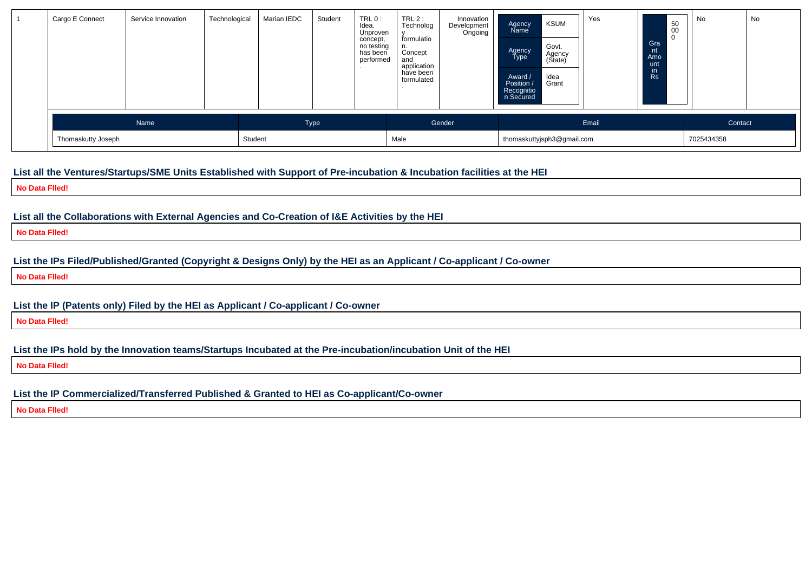| n Secured                       |         |
|---------------------------------|---------|
| Gender<br>Email<br>Name<br>Type | Contact |

#### **List all the Ventures/Startups/SME Units Established with Support of Pre-incubation & Incubation facilities at the HEI**

**No Data Flled!**

**List all the Collaborations with External Agencies and Co-Creation of I&E Activities by the HEI**

**No Data Flled!**

**List the IPs Filed/Published/Granted (Copyright & Designs Only) by the HEI as an Applicant / Co-applicant / Co-owner**

**No Data Flled!**

**List the IP (Patents only) Filed by the HEI as Applicant / Co-applicant / Co-owner**

**No Data Flled!**

**List the IPs hold by the Innovation teams/Startups Incubated at the Pre-incubation/incubation Unit of the HEI**

**No Data Flled!**

**List the IP Commercialized/Transferred Published & Granted to HEI as Co-applicant/Co-owner**

**No Data Flled!**